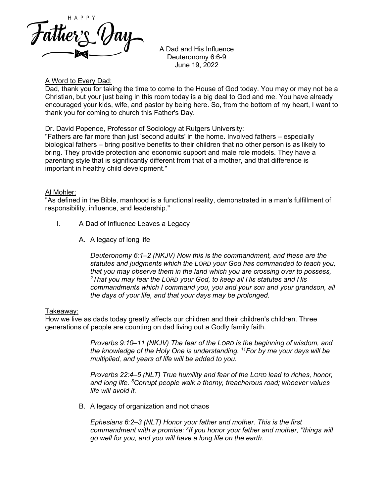

 A Dad and His Influence Deuteronomy 6:6-9 June 19, 2022

### A Word to Every Dad:

Dad, thank you for taking the time to come to the House of God today. You may or may not be a Christian, but your just being in this room today is a big deal to God and me. You have already encouraged your kids, wife, and pastor by being here. So, from the bottom of my heart, I want to thank you for coming to church this Father's Day.

### Dr. David Popenoe, Professor of Sociology at Rutgers University:

"Fathers are far more than just 'second adults' in the home. Involved fathers – especially biological fathers – bring positive benefits to their children that no other person is as likely to bring. They provide protection and economic support and male role models. They have a parenting style that is significantly different from that of a mother, and that difference is important in healthy child development."

### Al Mohler:

"As defined in the Bible, manhood is a functional reality, demonstrated in a man's fulfillment of responsibility, influence, and leadership."

- I. A Dad of Influence Leaves a Legacy
	- A. A legacy of long life

*Deuteronomy 6:1–2 (NKJV) Now this is the commandment, and these are the statutes and judgments which the LORD your God has commanded to teach you, that you may observe them in the land which you are crossing over to possess, 2 That you may fear the LORD your God, to keep all His statutes and His commandments which I command you, you and your son and your grandson, all the days of your life, and that your days may be prolonged.*

### Takeaway:

How we live as dads today greatly affects our children and their children's children. Three generations of people are counting on dad living out a Godly family faith.

> *Proverbs 9:10–11 (NKJV) The fear of the LORD is the beginning of wisdom, and the knowledge of the Holy One is understanding. 11For by me your days will be multiplied, and years of life will be added to you.*

> *Proverbs 22:4–5 (NLT) True humility and fear of the LORD lead to riches, honor, and long life. 5 Corrupt people walk a thorny, treacherous road; whoever values life will avoid it.*

B. A legacy of organization and not chaos

*Ephesians 6:2–3 (NLT) Honor your father and mother. This is the first commandment with a promise: 3 If you honor your father and mother, "things will go well for you, and you will have a long life on the earth.*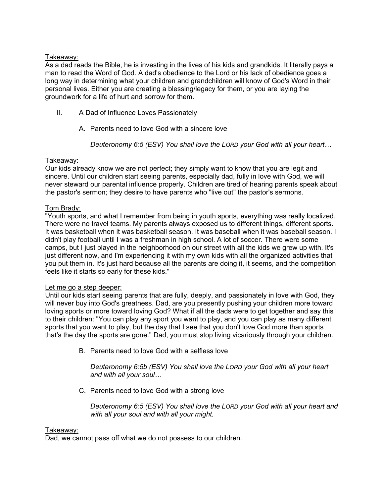# Takeaway:

As a dad reads the Bible, he is investing in the lives of his kids and grandkids. It literally pays a man to read the Word of God. A dad's obedience to the Lord or his lack of obedience goes a long way in determining what your children and grandchildren will know of God's Word in their personal lives. Either you are creating a blessing/legacy for them, or you are laying the groundwork for a life of hurt and sorrow for them.

- II. A Dad of Influence Loves Passionately
	- A. Parents need to love God with a sincere love

*Deuteronomy 6:5 (ESV) You shall love the LORD your God with all your heart…*

# Takeaway:

Our kids already know we are not perfect; they simply want to know that you are legit and sincere. Until our children start seeing parents, especially dad, fully in love with God, we will never steward our parental influence properly. Children are tired of hearing parents speak about the pastor's sermon; they desire to have parents who "live out" the pastor's sermons.

# Tom Brady:

"Youth sports, and what I remember from being in youth sports, everything was really localized. There were no travel teams. My parents always exposed us to different things, different sports. It was basketball when it was basketball season. It was baseball when it was baseball season. I didn't play football until I was a freshman in high school. A lot of soccer. There were some camps, but I just played in the neighborhood on our street with all the kids we grew up with. It's just different now, and I'm experiencing it with my own kids with all the organized activities that you put them in. It's just hard because all the parents are doing it, it seems, and the competition feels like it starts so early for these kids."

## Let me go a step deeper:

Until our kids start seeing parents that are fully, deeply, and passionately in love with God, they will never buy into God's greatness. Dad, are you presently pushing your children more toward loving sports or more toward loving God? What if all the dads were to get together and say this to their children: "You can play any sport you want to play, and you can play as many different sports that you want to play, but the day that I see that you don't love God more than sports that's the day the sports are gone." Dad, you must stop living vicariously through your children.

B. Parents need to love God with a selfless love

*Deuteronomy 6:5b (ESV) You shall love the LORD your God with all your heart and with all your soul…*

C. Parents need to love God with a strong love

*Deuteronomy 6:5 (ESV) You shall love the LORD your God with all your heart and with all your soul and with all your might.*

## Takeaway:

Dad, we cannot pass off what we do not possess to our children.